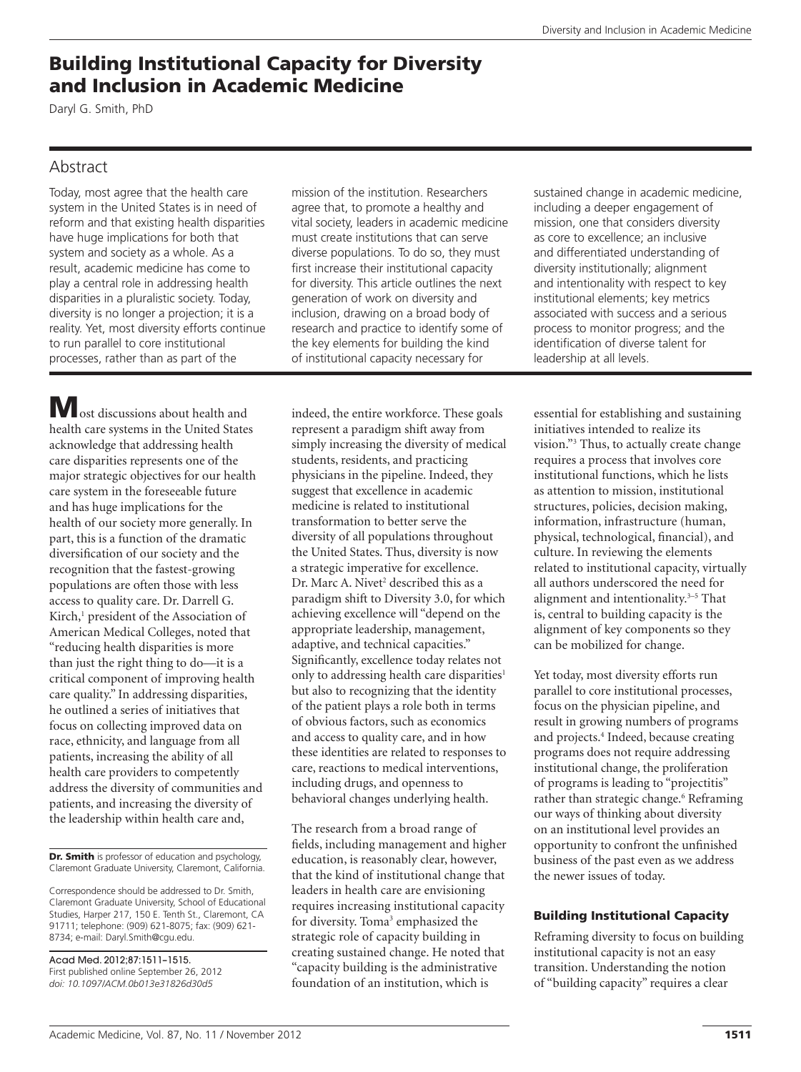# Building Institutional Capacity for Diversity and Inclusion in Academic Medicine

Daryl G. Smith, PhD

## Abstract

Today, most agree that the health care system in the United States is in need of reform and that existing health disparities have huge implications for both that system and society as a whole. As a result, academic medicine has come to play a central role in addressing health disparities in a pluralistic society. Today, diversity is no longer a projection; it is a reality. Yet, most diversity efforts continue to run parallel to core institutional processes, rather than as part of the

**M** ost discussions about health and health care systems in the United States acknowledge that addressing health care disparities represents one of the major strategic objectives for our health care system in the foreseeable future and has huge implications for the health of our society more generally. In part, this is a function of the dramatic diversification of our society and the recognition that the fastest-growing populations are often those with less access to quality care. Dr. Darrell G. Kirch,<sup>1</sup> president of the Association of American Medical Colleges, noted that "reducing health disparities is more than just the right thing to do—it is a critical component of improving health care quality." In addressing disparities, he outlined a series of initiatives that focus on collecting improved data on race, ethnicity, and language from all patients, increasing the ability of all health care providers to competently address the diversity of communities and patients, and increasing the diversity of the leadership within health care and,

Dr. Smith is professor of education and psychology, Claremont Graduate University, Claremont, California.

Correspondence should be addressed to Dr. Smith, Claremont Graduate University, School of Educational Studies, Harper 217, 150 E. Tenth St., Claremont, CA 91711; telephone: (909) 621-8075; fax: (909) 621- 8734; e-mail: [Daryl.Smith@cgu.edu](mailto:Daryl.Smith@cgu.edu).

Acad Med. 2012;87:1511–1515. First published online September 26, 2012 *doi: 10.1097/ACM.0b013e31826d30d5*

mission of the institution. Researchers agree that, to promote a healthy and vital society, leaders in academic medicine must create institutions that can serve diverse populations. To do so, they must first increase their institutional capacity for diversity. This article outlines the next generation of work on diversity and inclusion, drawing on a broad body of research and practice to identify some of the key elements for building the kind of institutional capacity necessary for

indeed, the entire workforce. These goals represent a paradigm shift away from simply increasing the diversity of medical students, residents, and practicing physicians in the pipeline. Indeed, they suggest that excellence in academic medicine is related to institutional transformation to better serve the diversity of all populations throughout the United States. Thus, diversity is now a strategic imperative for excellence. Dr. Marc A. Nivet<sup>2</sup> described this as a paradigm shift to Diversity 3.0, for which achieving excellence will "depend on the appropriate leadership, management, adaptive, and technical capacities." Significantly, excellence today relates not only to addressing health care disparities<sup>1</sup> but also to recognizing that the identity of the patient plays a role both in terms of obvious factors, such as economics and access to quality care, and in how these identities are related to responses to care, reactions to medical interventions, including drugs, and openness to behavioral changes underlying health.

The research from a broad range of fields, including management and higher education, is reasonably clear, however, that the kind of institutional change that leaders in health care are envisioning requires increasing institutional capacity for diversity. Toma<sup>3</sup> emphasized the strategic role of capacity building in creating sustained change. He noted that "capacity building is the administrative foundation of an institution, which is

sustained change in academic medicine, including a deeper engagement of mission, one that considers diversity as core to excellence; an inclusive and differentiated understanding of diversity institutionally; alignment and intentionality with respect to key institutional elements; key metrics associated with success and a serious process to monitor progress; and the identification of diverse talent for leadership at all levels.

essential for establishing and sustaining initiatives intended to realize its vision."3 Thus, to actually create change requires a process that involves core institutional functions, which he lists as attention to mission, institutional structures, policies, decision making, information, infrastructure (human, physical, technological, financial), and culture. In reviewing the elements related to institutional capacity, virtually all authors underscored the need for alignment and intentionality.3–5 That is, central to building capacity is the alignment of key components so they can be mobilized for change.

Yet today, most diversity efforts run parallel to core institutional processes, focus on the physician pipeline, and result in growing numbers of programs and projects.<sup>4</sup> Indeed, because creating programs does not require addressing institutional change, the proliferation of programs is leading to "projectitis" rather than strategic change.<sup>6</sup> Reframing our ways of thinking about diversity on an institutional level provides an opportunity to confront the unfinished business of the past even as we address the newer issues of today.

### Building Institutional Capacity

Reframing diversity to focus on building institutional capacity is not an easy transition. Understanding the notion of "building capacity" requires a clear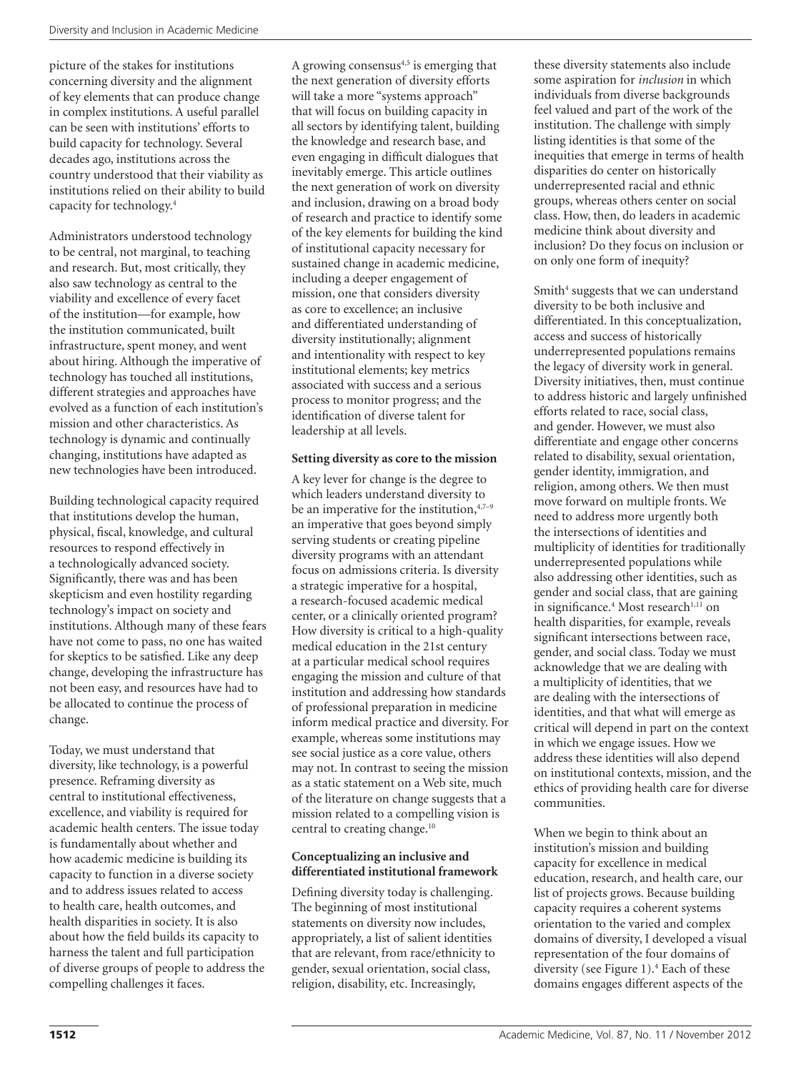picture of the stakes for institutions concerning diversity and the alignment of key elements that can produce change in complex institutions. A useful parallel can be seen with institutions' efforts to build capacity for technology. Several decades ago, institutions across the country understood that their viability as institutions relied on their ability to build capacity for technology.4

Administrators understood technology to be central, not marginal, to teaching and research. But, most critically, they also saw technology as central to the viability and excellence of every facet of the institution—for example, how the institution communicated, built infrastructure, spent money, and went about hiring. Although the imperative of technology has touched all institutions, different strategies and approaches have evolved as a function of each institution's mission and other characteristics. As technology is dynamic and continually changing, institutions have adapted as new technologies have been introduced.

Building technological capacity required that institutions develop the human, physical, fiscal, knowledge, and cultural resources to respond effectively in a technologically advanced society. Significantly, there was and has been skepticism and even hostility regarding technology's impact on society and institutions. Although many of these fears have not come to pass, no one has waited for skeptics to be satisfied. Like any deep change, developing the infrastructure has not been easy, and resources have had to be allocated to continue the process of change.

Today, we must understand that diversity, like technology, is a powerful presence. Reframing diversity as central to institutional effectiveness, excellence, and viability is required for academic health centers. The issue today is fundamentally about whether and how academic medicine is building its capacity to function in a diverse society and to address issues related to access to health care, health outcomes, and health disparities in society. It is also about how the field builds its capacity to harness the talent and full participation of diverse groups of people to address the compelling challenges it faces.

A growing consensus<sup>4,5</sup> is emerging that the next generation of diversity efforts will take a more "systems approach" that will focus on building capacity in all sectors by identifying talent, building the knowledge and research base, and even engaging in difficult dialogues that inevitably emerge. This article outlines the next generation of work on diversity and inclusion, drawing on a broad body of research and practice to identify some of the key elements for building the kind of institutional capacity necessary for sustained change in academic medicine, including a deeper engagement of mission, one that considers diversity as core to excellence; an inclusive and differentiated understanding of diversity institutionally; alignment and intentionality with respect to key institutional elements; key metrics associated with success and a serious process to monitor progress; and the identification of diverse talent for leadership at all levels.

#### **Setting diversity as core to the mission**

A key lever for change is the degree to which leaders understand diversity to be an imperative for the institution, 4,7-9 an imperative that goes beyond simply serving students or creating pipeline diversity programs with an attendant focus on admissions criteria. Is diversity a strategic imperative for a hospital, a research-focused academic medical center, or a clinically oriented program? How diversity is critical to a high-quality medical education in the 21st century at a particular medical school requires engaging the mission and culture of that institution and addressing how standards of professional preparation in medicine inform medical practice and diversity. For example, whereas some institutions may see social justice as a core value, others may not. In contrast to seeing the mission as a static statement on a Web site, much of the literature on change suggests that a mission related to a compelling vision is central to creating change.<sup>10</sup>

#### **Conceptualizing an inclusive and differentiated institutional framework**

Defining diversity today is challenging. The beginning of most institutional statements on diversity now includes, appropriately, a list of salient identities that are relevant, from race/ethnicity to gender, sexual orientation, social class, religion, disability, etc. Increasingly,

these diversity statements also include some aspiration for *inclusion* in which individuals from diverse backgrounds feel valued and part of the work of the institution. The challenge with simply listing identities is that some of the inequities that emerge in terms of health disparities do center on historically underrepresented racial and ethnic groups, whereas others center on social class. How, then, do leaders in academic medicine think about diversity and inclusion? Do they focus on inclusion or on only one form of inequity?

Smith<sup>4</sup> suggests that we can understand diversity to be both inclusive and differentiated. In this conceptualization, access and success of historically underrepresented populations remains the legacy of diversity work in general. Diversity initiatives, then, must continue to address historic and largely unfinished efforts related to race, social class, and gender. However, we must also differentiate and engage other concerns related to disability, sexual orientation, gender identity, immigration, and religion, among others. We then must move forward on multiple fronts. We need to address more urgently both the intersections of identities and multiplicity of identities for traditionally underrepresented populations while also addressing other identities, such as gender and social class, that are gaining in significance.<sup>4</sup> Most research<sup>1,11</sup> on health disparities, for example, reveals significant intersections between race, gender, and social class. Today we must acknowledge that we are dealing with a multiplicity of identities, that we are dealing with the intersections of identities, and that what will emerge as critical will depend in part on the context in which we engage issues. How we address these identities will also depend on institutional contexts, mission, and the ethics of providing health care for diverse communities.

When we begin to think about an institution's mission and building capacity for excellence in medical education, research, and health care, our list of projects grows. Because building capacity requires a coherent systems orientation to the varied and complex domains of diversity, I developed a visual representation of the four domains of diversity (see Figure 1).<sup>4</sup> Each of these domains engages different aspects of the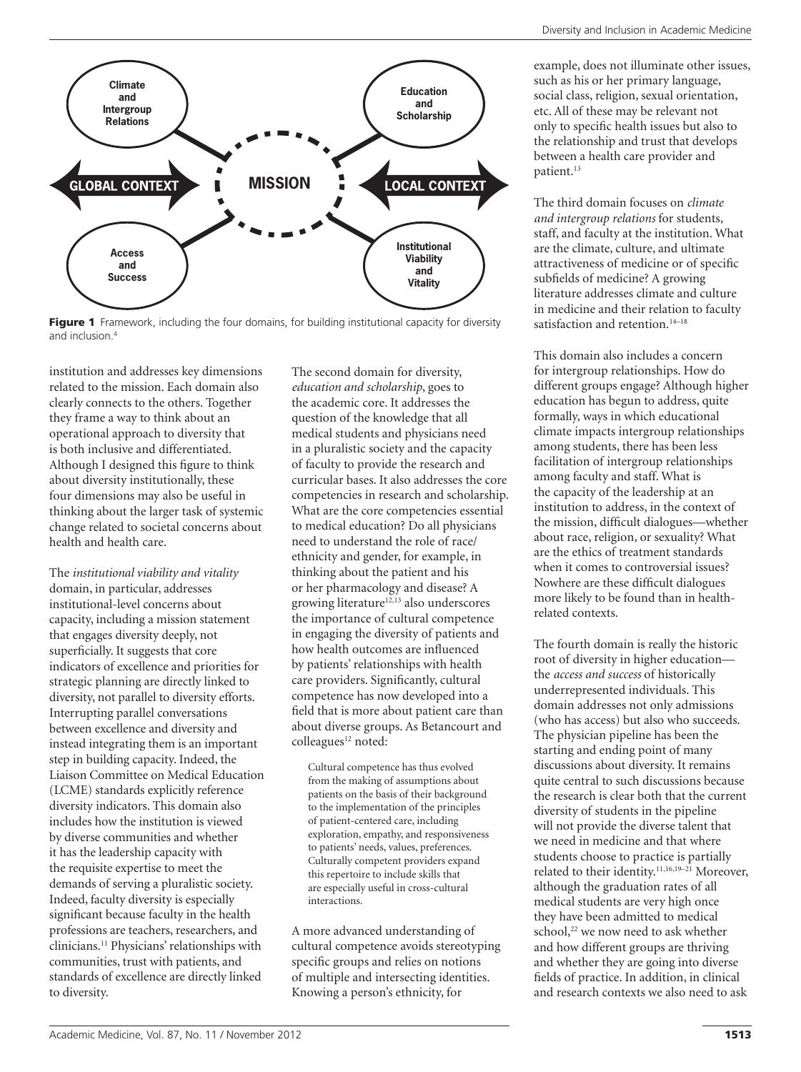

Figure 1 Framework, including the four domains, for building institutional capacity for diversity and inclusion.4

institution and addresses key dimensions related to the mission. Each domain also clearly connects to the others. Together they frame a way to think about an operational approach to diversity that is both inclusive and differentiated. Although I designed this figure to think about diversity institutionally, these four dimensions may also be useful in thinking about the larger task of systemic change related to societal concerns about health and health care.

The *institutional viability and vitality* domain, in particular, addresses institutional-level concerns about capacity, including a mission statement that engages diversity deeply, not superficially. It suggests that core indicators of excellence and priorities for strategic planning are directly linked to diversity, not parallel to diversity efforts. Interrupting parallel conversations between excellence and diversity and instead integrating them is an important step in building capacity. Indeed, the Liaison Committee on Medical Education (LCME) standards explicitly reference diversity indicators. This domain also includes how the institution is viewed by diverse communities and whether it has the leadership capacity with the requisite expertise to meet the demands of serving a pluralistic society. Indeed, faculty diversity is especially significant because faculty in the health professions are teachers, researchers, and clinicians.11 Physicians' relationships with communities, trust with patients, and standards of excellence are directly linked to diversity.

The second domain for diversity, *education and scholarship*, goes to the academic core. It addresses the question of the knowledge that all medical students and physicians need in a pluralistic society and the capacity of faculty to provide the research and curricular bases. It also addresses the core competencies in research and scholarship. What are the core competencies essential to medical education? Do all physicians need to understand the role of race/ ethnicity and gender, for example, in thinking about the patient and his or her pharmacology and disease? A growing literature<sup>12,13</sup> also underscores the importance of cultural competence in engaging the diversity of patients and how health outcomes are influenced by patients' relationships with health care providers. Significantly, cultural competence has now developed into a field that is more about patient care than about diverse groups. As Betancourt and colleagues<sup>12</sup> noted:

Cultural competence has thus evolved from the making of assumptions about patients on the basis of their background to the implementation of the principles of patient-centered care, including exploration, empathy, and responsiveness to patients' needs, values, preferences. Culturally competent providers expand this repertoire to include skills that are especially useful in cross-cultural interactions.

A more advanced understanding of cultural competence avoids stereotyping specific groups and relies on notions of multiple and intersecting identities. Knowing a person's ethnicity, for

example, does not illuminate other issues, such as his or her primary language, social class, religion, sexual orientation, etc. All of these may be relevant not only to specific health issues but also to the relationship and trust that develops between a health care provider and patient.13

The third domain focuses on *climate and intergroup relations* for students, staff, and faculty at the institution. What are the climate, culture, and ultimate attractiveness of medicine or of specific subfields of medicine? A growing literature addresses climate and culture in medicine and their relation to faculty satisfaction and retention.<sup>14-18</sup>

This domain also includes a concern for intergroup relationships. How do different groups engage? Although higher education has begun to address, quite formally, ways in which educational climate impacts intergroup relationships among students, there has been less facilitation of intergroup relationships among faculty and staff. What is the capacity of the leadership at an institution to address, in the context of the mission, difficult dialogues—whether about race, religion, or sexuality? What are the ethics of treatment standards when it comes to controversial issues? Nowhere are these difficult dialogues more likely to be found than in healthrelated contexts.

The fourth domain is really the historic root of diversity in higher education the *access and success* of historically underrepresented individuals. This domain addresses not only admissions (who has access) but also who succeeds. The physician pipeline has been the starting and ending point of many discussions about diversity. It remains quite central to such discussions because the research is clear both that the current diversity of students in the pipeline will not provide the diverse talent that we need in medicine and that where students choose to practice is partially related to their identity.<sup>11,16,19-21</sup> Moreover, although the graduation rates of all medical students are very high once they have been admitted to medical school,<sup>22</sup> we now need to ask whether and how different groups are thriving and whether they are going into diverse fields of practice. In addition, in clinical and research contexts we also need to ask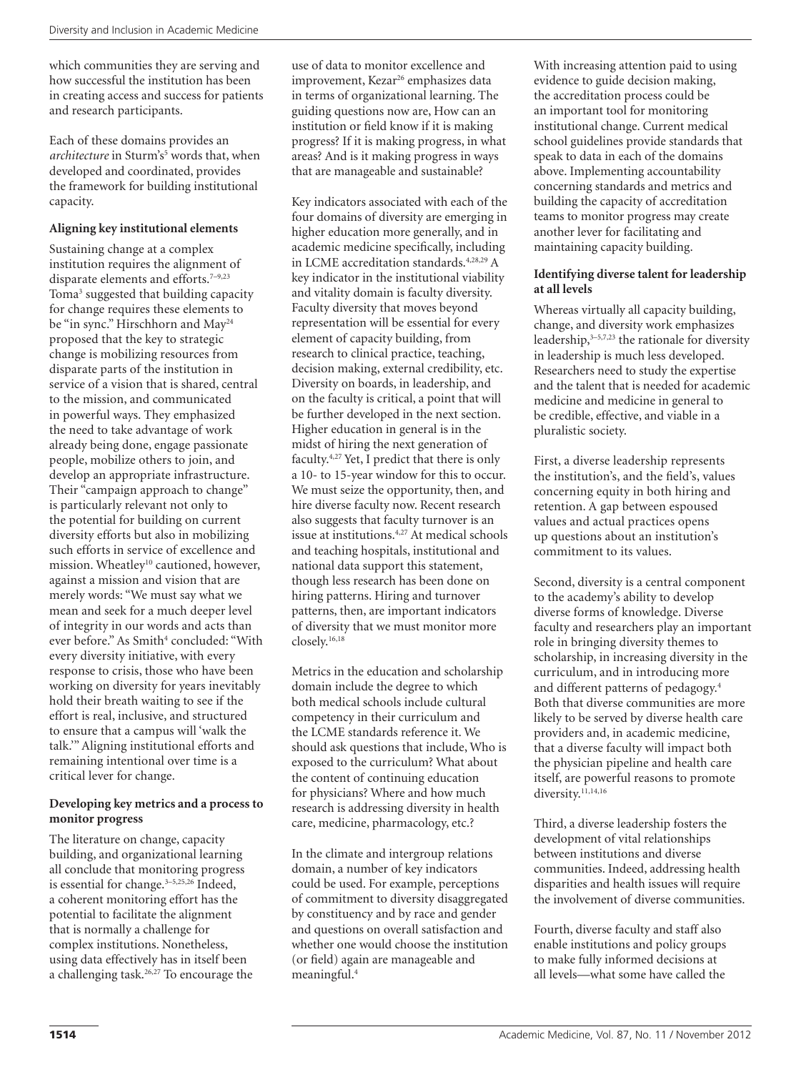which communities they are serving and how successful the institution has been in creating access and success for patients and research participants.

Each of these domains provides an architecture in Sturm's<sup>5</sup> words that, when developed and coordinated, provides the framework for building institutional capacity.

#### **Aligning key institutional elements**

Sustaining change at a complex institution requires the alignment of disparate elements and efforts.<sup>7-9,23</sup> Toma<sup>3</sup> suggested that building capacity for change requires these elements to be "in sync." Hirschhorn and May<sup>24</sup> proposed that the key to strategic change is mobilizing resources from disparate parts of the institution in service of a vision that is shared, central to the mission, and communicated in powerful ways. They emphasized the need to take advantage of work already being done, engage passionate people, mobilize others to join, and develop an appropriate infrastructure. Their "campaign approach to change" is particularly relevant not only to the potential for building on current diversity efforts but also in mobilizing such efforts in service of excellence and mission. Wheatley<sup>10</sup> cautioned, however, against a mission and vision that are merely words: "We must say what we mean and seek for a much deeper level of integrity in our words and acts than ever before." As Smith<sup>4</sup> concluded: "With every diversity initiative, with every response to crisis, those who have been working on diversity for years inevitably hold their breath waiting to see if the effort is real, inclusive, and structured to ensure that a campus will 'walk the talk.'" Aligning institutional efforts and remaining intentional over time is a critical lever for change.

#### **Developing key metrics and a process to monitor progress**

The literature on change, capacity building, and organizational learning all conclude that monitoring progress is essential for change. $3-5,25,26$  Indeed, a coherent monitoring effort has the potential to facilitate the alignment that is normally a challenge for complex institutions. Nonetheless, using data effectively has in itself been a challenging task.26,27 To encourage the

use of data to monitor excellence and improvement, Kezar<sup>26</sup> emphasizes data in terms of organizational learning. The guiding questions now are, How can an institution or field know if it is making progress? If it is making progress, in what areas? And is it making progress in ways that are manageable and sustainable?

Key indicators associated with each of the four domains of diversity are emerging in higher education more generally, and in academic medicine specifically, including in LCME accreditation standards.4,28,29 A key indicator in the institutional viability and vitality domain is faculty diversity. Faculty diversity that moves beyond representation will be essential for every element of capacity building, from research to clinical practice, teaching, decision making, external credibility, etc. Diversity on boards, in leadership, and on the faculty is critical, a point that will be further developed in the next section. Higher education in general is in the midst of hiring the next generation of faculty.4,27 Yet, I predict that there is only a 10- to 15-year window for this to occur. We must seize the opportunity, then, and hire diverse faculty now. Recent research also suggests that faculty turnover is an issue at institutions.4,27 At medical schools and teaching hospitals, institutional and national data support this statement, though less research has been done on hiring patterns. Hiring and turnover patterns, then, are important indicators of diversity that we must monitor more closely.16,18

Metrics in the education and scholarship domain include the degree to which both medical schools include cultural competency in their curriculum and the LCME standards reference it. We should ask questions that include, Who is exposed to the curriculum? What about the content of continuing education for physicians? Where and how much research is addressing diversity in health care, medicine, pharmacology, etc.?

In the climate and intergroup relations domain, a number of key indicators could be used. For example, perceptions of commitment to diversity disaggregated by constituency and by race and gender and questions on overall satisfaction and whether one would choose the institution (or field) again are manageable and meaningful.4

With increasing attention paid to using evidence to guide decision making, the accreditation process could be an important tool for monitoring institutional change. Current medical school guidelines provide standards that speak to data in each of the domains above. Implementing accountability concerning standards and metrics and building the capacity of accreditation teams to monitor progress may create another lever for facilitating and maintaining capacity building.

#### **Identifying diverse talent for leadership at all levels**

Whereas virtually all capacity building, change, and diversity work emphasizes leadership, $3-5,7,23$  the rationale for diversity in leadership is much less developed. Researchers need to study the expertise and the talent that is needed for academic medicine and medicine in general to be credible, effective, and viable in a pluralistic society.

First, a diverse leadership represents the institution's, and the field's, values concerning equity in both hiring and retention. A gap between espoused values and actual practices opens up questions about an institution's commitment to its values.

Second, diversity is a central component to the academy's ability to develop diverse forms of knowledge. Diverse faculty and researchers play an important role in bringing diversity themes to scholarship, in increasing diversity in the curriculum, and in introducing more and different patterns of pedagogy.4 Both that diverse communities are more likely to be served by diverse health care providers and, in academic medicine, that a diverse faculty will impact both the physician pipeline and health care itself, are powerful reasons to promote diversity.<sup>11,14,16</sup>

Third, a diverse leadership fosters the development of vital relationships between institutions and diverse communities. Indeed, addressing health disparities and health issues will require the involvement of diverse communities.

Fourth, diverse faculty and staff also enable institutions and policy groups to make fully informed decisions at all levels—what some have called the